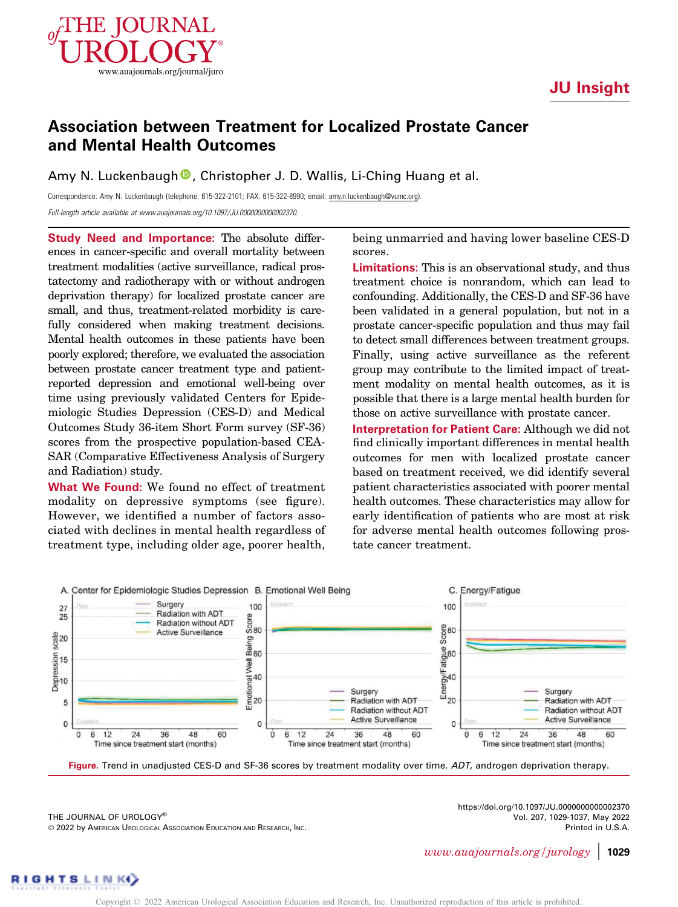# JU Insight



Amy N. Luckenbaug[h](https://orcid.org/0000-0001-6598-9372)<sup>®</sup>, Christopher J. D. Wallis, Li-Ching Huang et al.

Correspondence: Amy N. Luckenbaugh (telephone: 615-322-2101; FAX: 615-322-8990; email: [amy.n.luckenbaugh@vumc.org\)](mailto:amy.n.luckenbaugh@vumc.org). Full-length article available at [www.auajournals.org/10.1097/JU.0000000000002370](http://www.auajournals.org/10.1097/JU.0000000000002370).

Study Need and Importance: The absolute differences in cancer-specific and overall mortality between treatment modalities (active surveillance, radical prostatectomy and radiotherapy with or without androgen deprivation therapy) for localized prostate cancer are small, and thus, treatment-related morbidity is carefully considered when making treatment decisions. Mental health outcomes in these patients have been poorly explored; therefore, we evaluated the association between prostate cancer treatment type and patientreported depression and emotional well-being over time using previously validated Centers for Epidemiologic Studies Depression (CES-D) and Medical Outcomes Study 36-item Short Form survey (SF-36) scores from the prospective population-based CEA-SAR (Comparative Effectiveness Analysis of Surgery and Radiation) study.

[www.auajournals.org/journal/juro](http://www.auajournals.org/journal/juro)

<span id="page-0-0"></span>**IE JOURNAL** 

What We Found: We found no effect of treatment modality on depressive symptoms (see figure). However, we identified a number of factors associated with declines in mental health regardless of treatment type, including older age, poorer health,

being unmarried and having lower baseline CES-D scores.

Limitations: This is an observational study, and thus treatment choice is nonrandom, which can lead to confounding. Additionally, the CES-D and SF-36 have been validated in a general population, but not in a prostate cancer-specific population and thus may fail to detect small differences between treatment groups. Finally, using active surveillance as the referent group may contribute to the limited impact of treatment modality on mental health outcomes, as it is possible that there is a large mental health burden for those on active surveillance with prostate cancer.

Interpretation for Patient Care: Although we did not find clinically important differences in mental health outcomes for men with localized prostate cancer based on treatment received, we did identify several patient characteristics associated with poorer mental health outcomes. These characteristics may allow for early identification of patients who are most at risk for adverse mental health outcomes following prostate cancer treatment.



THE JOURNAL OF UROLOGY® 2022 by AMERICAN UROLOGICAL ASSOCIATION EDUCATION AND RESEARCH, INC. <https://doi.org/10.1097/JU.0000000000002370> Vol. 207, 1029-1037, May 2022 Printed in U.S.A.

 $www.auajournals.org/jurology \mid 1029$  $www.auajournals.org/jurology \mid 1029$ 

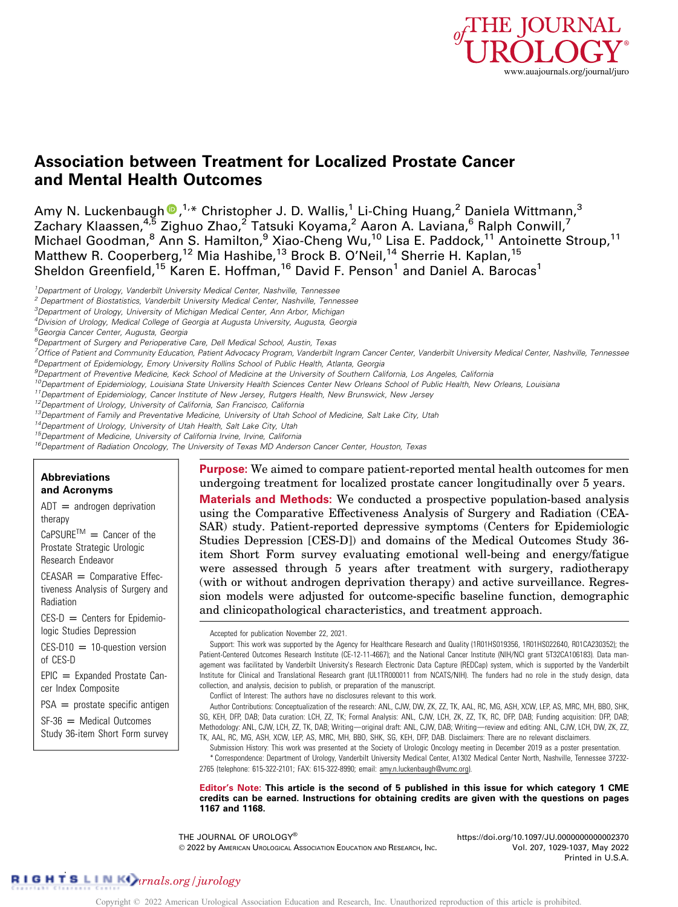

# Association between Treatment for Localized Prostate Cancer and Mental Health Outcomes

Amy N. Luckenbaug[h](https://orcid.org/0000-0001-6598-9372)  $\bullet$  ,<sup>1,\*</sup> Christopher J. D. Wallis,<sup>1</sup> Li-Ching Huang,<sup>2</sup> Daniela Wittmann,<sup>3</sup> Zachary Klaassen,<sup>4,5</sup> Zighuo Zhao,<sup>2</sup> Tatsuki Koyama,<sup>2</sup> Aaron A. Laviana,<sup>6</sup> Ralph Conwill,<sup>7</sup> Michael Goodman,<sup>8</sup> Ann S. Hamilton,<sup>9</sup> Xiao-Cheng Wu,<sup>10</sup> Lisa E. Paddock,<sup>11</sup> Antoinette Stroup,<sup>11</sup> Matthew R. Cooperberg,<sup>12</sup> Mia Hashibe,<sup>13</sup> Brock B. O'Neil,<sup>14</sup> Sherrie H. Kaplan,<sup>15</sup> Sheldon Greenfield,<sup>15</sup> Karen E. Hoffman,<sup>16</sup> David F. Penson<sup>1</sup> and Daniel A. Barocas<sup>1</sup>

<sup>1</sup> Department of Urology, Vanderbilt University Medical Center, Nashville, Tennessee

 $<sup>2</sup>$  Department of Biostatistics, Vanderbilt University Medical Center, Nashville, Tennessee</sup>

<sup>3</sup>Department of Urology, University of Michigan Medical Center, Ann Arbor, Michigan

4 Division of Urology, Medical College of Georgia at Augusta University, Augusta, Georgia

5 Georgia Cancer Center, Augusta, Georgia

6 Department of Surgery and Perioperative Care, Dell Medical School, Austin, Texas

<sup>7</sup>Office of Patient and Community Education, Patient Advocacy Program, Vanderbilt Ingram Cancer Center, Vanderbilt University Medical Center, Nashville, Tennessee <sup>8</sup>Department of Epidemiology, Emory University Rollins School of Public Health, Atlanta, Georgia

<sup>9</sup>Department of Preventive Medicine, Keck School of Medicine at the University of Southern California, Los Angeles, California

<sup>10</sup>Department of Epidemiology, Louisiana State University Health Sciences Center New Orleans School of Public Health, New Orleans, Louisiana

 $^{11}$ Department of Epidemiology, Cancer Institute of New Jersey, Rutgers Health, New Brunswick, New Jersey

<sup>12</sup>Department of Urology, University of California, San Francisco, California

<sup>13</sup>Department of Family and Preventative Medicine, University of Utah School of Medicine, Salt Lake City, Utah

 $14$ Department of Urology, University of Utah Health, Salt Lake City, Utah

<sup>15</sup>Department of Medicine, University of California Irvine, Irvine, California

<sup>16</sup>Department of Radiation Oncology, The University of Texas MD Anderson Cancer Center, Houston, Texas

#### Abbreviations and Acronyms

 $ADT = androgen deprivation$ therapy

 $CaP\text{SURE}^{TM}$  = Cancer of the Prostate Strategic Urologic Research Endeavor

 $CEASAR = Comparative Effect$ tiveness Analysis of Surgery and Radiation

 $CES-D =$  Centers for Epidemiologic Studies Depression

 $CES-D10 = 10$ -question version of CES-D

 $EPIC =$  Expanded Prostate Cancer Index Composite

 $PSA =$  prostate specific antigen

 $SF-36$  = Medical Outcomes

Study 36-item Short Form survey

Purpose: We aimed to compare patient-reported mental health outcomes for men undergoing treatment for localized prostate cancer longitudinally over 5 years. Materials and Methods: We conducted a prospective population-based analysis

using the Comparative Effectiveness Analysis of Surgery and Radiation (CEA-SAR) study. Patient-reported depressive symptoms (Centers for Epidemiologic Studies Depression [CES-D]) and domains of the Medical Outcomes Study 36 item Short Form survey evaluating emotional well-being and energy/fatigue were assessed through 5 years after treatment with surgery, radiotherapy (with or without androgen deprivation therapy) and active surveillance. Regression models were adjusted for outcome-specific baseline function, demographic and clinicopathological characteristics, and treatment approach.

Conflict of Interest: The authors have no disclosures relevant to this work.

Author Contributions: Conceptualization of the research: ANL, CJW, DW, ZK, ZZ, TK, AAL, RC, MG, ASH, XCW, LEP, AS, MRC, MH, BBO, SHK, SG, KEH, DFP, DAB; Data curation: LCH, ZZ, TK; Formal Analysis: ANL, CJW, LCH, ZK, ZZ, TK, RC, DFP, DAB; Funding acquisition: DFP, DAB; Methodology: ANL, CJW, LCH, ZZ, TK, DAB; Writing-original draft: ANL, CJW, DAB; Writing-review and editing: ANL, CJW, LCH, DW, ZK, ZZ, TK, AAL, RC, MG, ASH, XCW, LEP, AS, MRC, MH, BBO, SHK, SG, KEH, DFP, DAB. Disclaimers: There are no relevant disclaimers.

Submission History: This work was presented at the Society of Urologic Oncology meeting in December 2019 as a poster presentation. \* Correspondence: Department of Urology, Vanderbilt University Medical Center, A1302 Medical Center North, Nashville, Tennessee 37232- 2765 (telephone: 615-322-2101; FAX: 615-322-8990; email: [amy.n.luckenbaugh@vumc.org](mailto:amy.n.luckenbaugh@vumc.org)).

Editor's Note: This article is the second of 5 published in this issue for which category 1 CME credits can be earned. Instructions for obtaining credits are given with the questions on pages 1167 and 1168.

THE JOURNAL OF UROLOGY® 2022 by AMERICAN UROLOGICAL ASSOCIATION EDUCATION AND RESEARCH, INC. <https://doi.org/10.1097/JU.0000000000002370> Vol. 207, 1029-1037, May 2022 Printed in U.S.A.

Accepted for publication November 22, 2021.

Support: This work was supported by the Agency for Healthcare Research and Quality (1R01HS019356, 1R01HS022640, R01CA230352); the Patient-Centered Outcomes Research Institute (CE-12-11-4667); and the National Cancer Institute (NIH/NCI grant 5T32CA106183). Data management was facilitated by Vanderbilt University's Research Electronic Data Capture (REDCap) system, which is supported by the Vanderbilt Institute for Clinical and Translational Research grant (UL1TR000011 from NCATS/NIH). The funders had no role in the study design, data collection, and analysis, decision to publish, or preparation of the manuscript.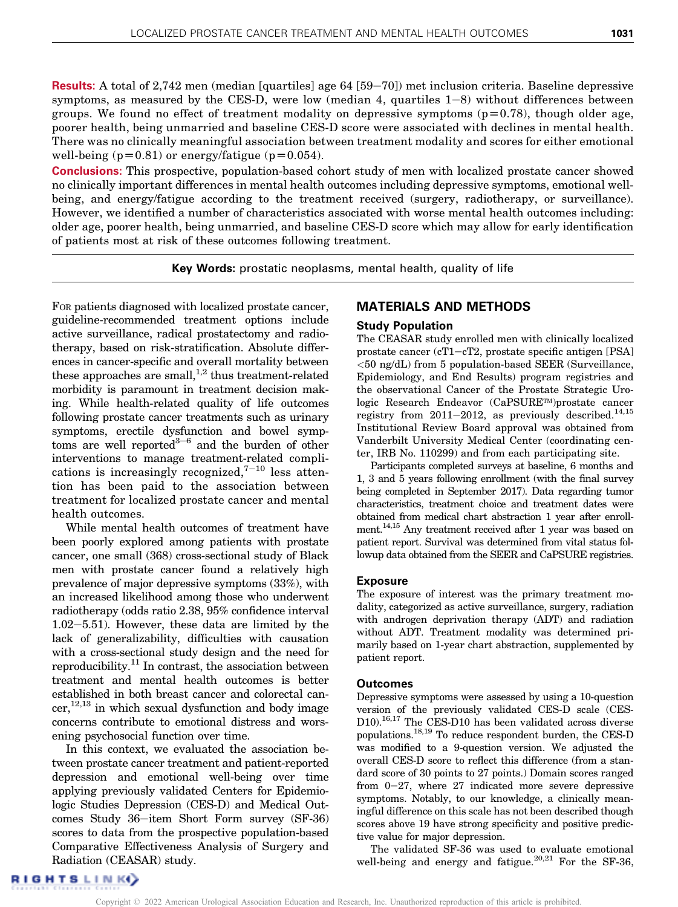Results: A total of 2,742 men (median [quartiles] age 64 [59–70]) met inclusion criteria. Baseline depressive symptoms, as measured by the CES-D, were low (median 4, quartiles  $1-8$ ) without differences between groups. We found no effect of treatment modality on depressive symptoms  $(p=0.78)$ , though older age, poorer health, being unmarried and baseline CES-D score were associated with declines in mental health. There was no clinically meaningful association between treatment modality and scores for either emotional well-being  $(p=0.81)$  or energy/fatigue  $(p=0.054)$ .

**Conclusions:** This prospective, population-based cohort study of men with localized prostate cancer showed no clinically important differences in mental health outcomes including depressive symptoms, emotional wellbeing, and energy/fatigue according to the treatment received (surgery, radiotherapy, or surveillance). However, we identified a number of characteristics associated with worse mental health outcomes including: older age, poorer health, being unmarried, and baseline CES-D score which may allow for early identification of patients most at risk of these outcomes following treatment.

Key Words: prostatic neoplasms, mental health, quality of life

FOR patients diagnosed with localized prostate cancer, guideline-recommended treatment options include active surveillance, radical prostatectomy and radiotherapy, based on risk-stratification. Absolute differences in cancer-specific and overall mortality between these approaches are small, $^{1,2}$  thus treatment-related morbidity is paramount in treatment decision making. While health-related quality of life outcomes following prostate cancer treatments such as urinary symptoms, erectile dysfunction and bowel symptoms are well reported<sup>3-6</sup> and the burden of other interventions to manage treatment-related complications is increasingly recognized,<sup> $7-10$ </sup> less attention has been paid to the association between treatment for localized prostate cancer and mental health outcomes.

While mental health outcomes of treatment have been poorly explored among patients with prostate cancer, one small (368) cross-sectional study of Black men with prostate cancer found a relatively high prevalence of major depressive symptoms (33%), with an increased likelihood among those who underwent radiotherapy (odds ratio 2.38, 95% confidence interval  $1.02-5.51$ ). However, these data are limited by the lack of generalizability, difficulties with causation with a cross-sectional study design and the need for reproducibility.<sup>[11](#page-8-0)</sup> In contrast, the association between treatment and mental health outcomes is better established in both breast cancer and colorectal can $cer, <sup>12,13</sup>$  in which sexual dysfunction and body image concerns contribute to emotional distress and worsening psychosocial function over time.

In this context, we evaluated the association between prostate cancer treatment and patient-reported depression and emotional well-being over time applying previously validated Centers for Epidemiologic Studies Depression (CES-D) and Medical Outcomes Study 36-item Short Form survey (SF-36) scores to data from the prospective population-based Comparative Effectiveness Analysis of Surgery and Radiation (CEASAR) study.

## MATERIALS AND METHODS

## Study Population

The CEASAR study enrolled men with clinically localized prostate cancer  $(cT1-cT2,$  prostate specific antigen [PSA]  $<$ 50 ng/dL) from 5 population-based SEER (Surveillance, Epidemiology, and End Results) program registries and the observational Cancer of the Prostate Strategic Urologic Research Endeavor  $(CaPSURE^{TM})$ prostate cancer registry from 2011-2012, as previously described.<sup>14,15</sup> Institutional Review Board approval was obtained from Vanderbilt University Medical Center (coordinating center, IRB No. 110299) and from each participating site.

Participants completed surveys at baseline, 6 months and 1, 3 and 5 years following enrollment (with the final survey being completed in September 2017). Data regarding tumor characteristics, treatment choice and treatment dates were obtained from medical chart abstraction 1 year after enrollment.<sup>14,15</sup> Any treatment received after 1 year was based on patient report. Survival was determined from vital status followup data obtained from the SEER and CaPSURE registries.

## Exposure

The exposure of interest was the primary treatment modality, categorized as active surveillance, surgery, radiation with androgen deprivation therapy (ADT) and radiation without ADT. Treatment modality was determined primarily based on 1-year chart abstraction, supplemented by patient report.

## **Outcomes**

Depressive symptoms were assessed by using a 10-question version of the previously validated CES-D scale (CES-D10).<sup>16,17</sup> The CES-D10 has been validated across diverse populations.18,19 To reduce respondent burden, the CES-D was modified to a 9-question version. We adjusted the overall CES-D score to reflect this difference (from a standard score of 30 points to 27 points.) Domain scores ranged from  $0-27$ , where 27 indicated more severe depressive symptoms. Notably, to our knowledge, a clinically meaningful difference on this scale has not been described though scores above 19 have strong specificity and positive predictive value for major depression.

The validated SF-36 was used to evaluate emotional well-being and energy and fatigue. $20,21$  For the SF-36,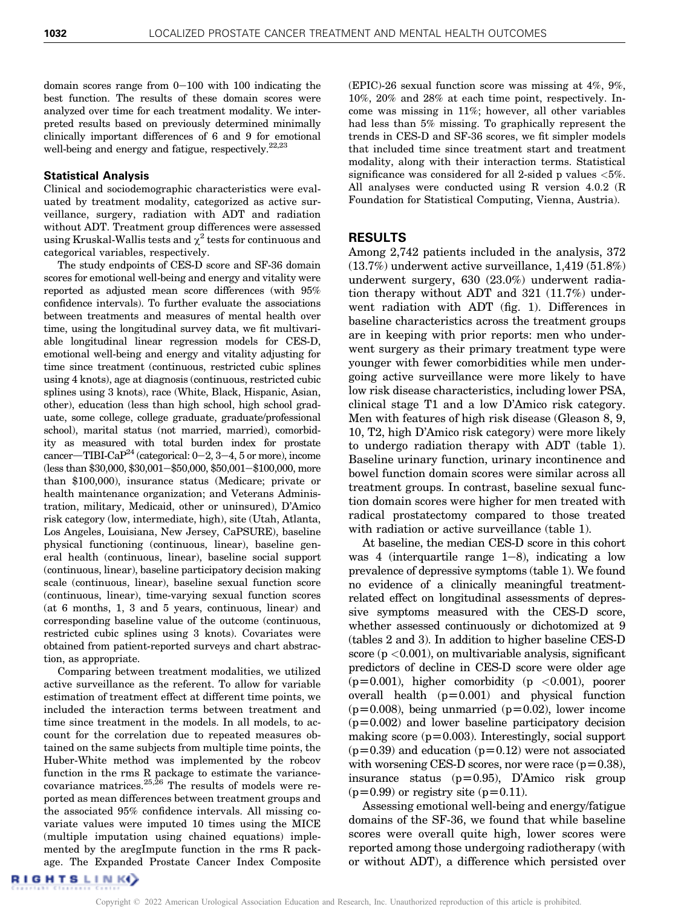domain scores range from  $0-100$  with 100 indicating the best function. The results of these domain scores were analyzed over time for each treatment modality. We interpreted results based on previously determined minimally clinically important differences of 6 and 9 for emotional well-being and energy and fatigue, respectively.<sup>22,23</sup>

#### Statistical Analysis

Clinical and sociodemographic characteristics were evaluated by treatment modality, categorized as active surveillance, surgery, radiation with ADT and radiation without ADT. Treatment group differences were assessed using Kruskal-Wallis tests and  $\chi^2$  tests for continuous and categorical variables, respectively.

The study endpoints of CES-D score and SF-36 domain scores for emotional well-being and energy and vitality were reported as adjusted mean score differences (with 95% confidence intervals). To further evaluate the associations between treatments and measures of mental health over time, using the longitudinal survey data, we fit multivariable longitudinal linear regression models for CES-D, emotional well-being and energy and vitality adjusting for time since treatment (continuous, restricted cubic splines using 4 knots), age at diagnosis (continuous, restricted cubic splines using 3 knots), race (White, Black, Hispanic, Asian, other), education (less than high school, high school graduate, some college, college graduate, graduate/professional school), marital status (not married, married), comorbidity as measured with total burden index for prostate cancer—TIBI-CaP<sup>24</sup> (categorical:  $0-2$ ,  $3-4$ , 5 or more), income  $(less than $30,000, $30,001 - $50,000, $50,001 - $100,000, more$ than \$100,000), insurance status (Medicare; private or health maintenance organization; and Veterans Administration, military, Medicaid, other or uninsured), D'Amico risk category (low, intermediate, high), site (Utah, Atlanta, Los Angeles, Louisiana, New Jersey, CaPSURE), baseline physical functioning (continuous, linear), baseline general health (continuous, linear), baseline social support (continuous, linear), baseline participatory decision making scale (continuous, linear), baseline sexual function score (continuous, linear), time-varying sexual function scores (at 6 months, 1, 3 and 5 years, continuous, linear) and corresponding baseline value of the outcome (continuous, restricted cubic splines using 3 knots). Covariates were obtained from patient-reported surveys and chart abstraction, as appropriate.

Comparing between treatment modalities, we utilized active surveillance as the referent. To allow for variable estimation of treatment effect at different time points, we included the interaction terms between treatment and time since treatment in the models. In all models, to account for the correlation due to repeated measures obtained on the same subjects from multiple time points, the Huber-White method was implemented by the robcov function in the rms R package to estimate the variancecovariance matrices.<sup>25,26</sup> The results of models were reported as mean differences between treatment groups and the associated 95% confidence intervals. All missing covariate values were imputed 10 times using the MICE (multiple imputation using chained equations) implemented by the aregImpute function in the rms R package. The Expanded Prostate Cancer Index Composite

(EPIC)-26 sexual function score was missing at 4%, 9%, 10%, 20% and 28% at each time point, respectively. Income was missing in 11%; however, all other variables had less than 5% missing. To graphically represent the trends in CES-D and SF-36 scores, we fit simpler models that included time since treatment start and treatment modality, along with their interaction terms. Statistical significance was considered for all 2-sided p values  $<5\%$ . All analyses were conducted using R version 4.0.2 (R Foundation for Statistical Computing, Vienna, Austria).

## RESULTS

Among 2,742 patients included in the analysis, 372 (13.7%) underwent active surveillance, 1,419 (51.8%) underwent surgery, 630 (23.0%) underwent radiation therapy without ADT and 321 (11.7%) underwent radiation with ADT [\(fig. 1](#page-0-0)). Differences in baseline characteristics across the treatment groups are in keeping with prior reports: men who underwent surgery as their primary treatment type were younger with fewer comorbidities while men undergoing active surveillance were more likely to have low risk disease characteristics, including lower PSA, clinical stage T1 and a low D'Amico risk category. Men with features of high risk disease (Gleason 8, 9, 10, T2, high D'Amico risk category) were more likely to undergo radiation therapy with ADT ([table 1\)](#page-5-0). Baseline urinary function, urinary incontinence and bowel function domain scores were similar across all treatment groups. In contrast, baseline sexual function domain scores were higher for men treated with radical prostatectomy compared to those treated with radiation or active surveillance ([table 1\)](#page-5-0).

At baseline, the median CES-D score in this cohort was 4 (interquartile range  $1-8$ ), indicating a low prevalence of depressive symptoms [\(table 1\)](#page-5-0). We found no evidence of a clinically meaningful treatmentrelated effect on longitudinal assessments of depressive symptoms measured with the CES-D score, whether assessed continuously or dichotomized at 9 (tables 2 and 3). In addition to higher baseline CES-D score  $(p < 0.001)$ , on multivariable analysis, significant predictors of decline in CES-D score were older age  $(p=0.001)$ , higher comorbidity  $(p < 0.001)$ , poorer overall health  $(p=0.001)$  and physical function  $(p=0.008)$ , being unmarried  $(p=0.02)$ , lower income  $(p=0.002)$  and lower baseline participatory decision making score  $(p=0.003)$ . Interestingly, social support  $(p=0.39)$  and education  $(p=0.12)$  were not associated with worsening CES-D scores, nor were race  $(p=0.38)$ , insurance status  $(p=0.95)$ , D'Amico risk group  $(p=0.99)$  or registry site  $(p=0.11)$ .

Assessing emotional well-being and energy/fatigue domains of the SF-36, we found that while baseline scores were overall quite high, lower scores were reported among those undergoing radiotherapy (with or without ADT), a difference which persisted over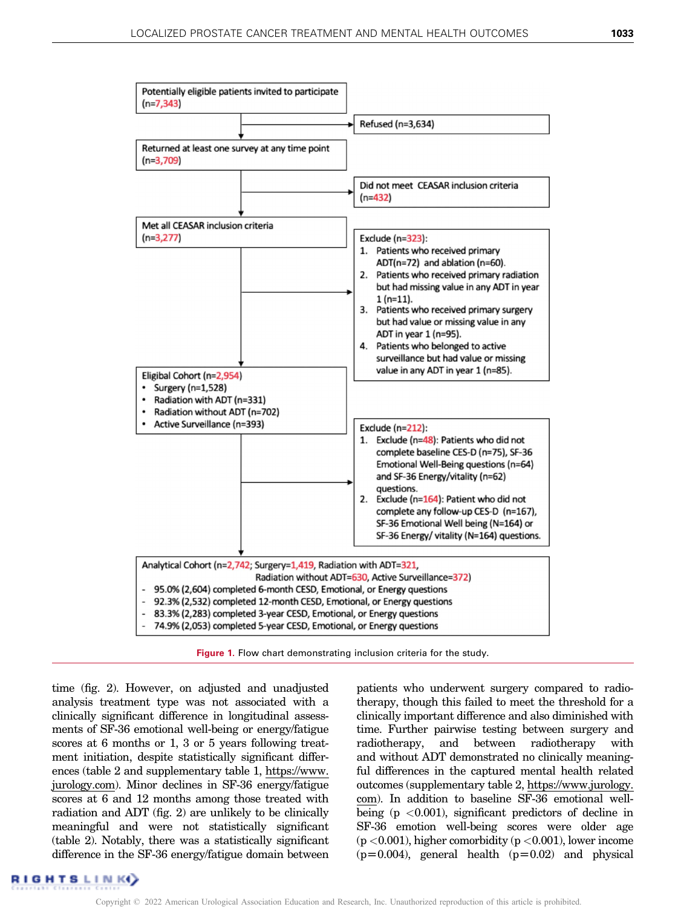

Figure 1. Flow chart demonstrating inclusion criteria for the study.

time (fig. 2). However, on adjusted and unadjusted analysis treatment type was not associated with a clinically significant difference in longitudinal assessments of SF-36 emotional well-being or energy/fatigue scores at 6 months or 1, 3 or 5 years following treatment initiation, despite statistically significant differences [\(table 2](#page-6-0) and supplementary table 1, [https://www.](https://www.auajournals.org/doi/suppl/10.1097/JU.0000000000002370) [jurology.com](https://www.auajournals.org/doi/suppl/10.1097/JU.0000000000002370)). Minor declines in SF-36 energy/fatigue scores at 6 and 12 months among those treated with radiation and ADT (fig. 2) are unlikely to be clinically meaningful and were not statistically significant [\(table 2](#page-6-0)). Notably, there was a statistically significant difference in the SF-36 energy/fatigue domain between patients who underwent surgery compared to radiotherapy, though this failed to meet the threshold for a clinically important difference and also diminished with time. Further pairwise testing between surgery and radiotherapy, and between radiotherapy with and without ADT demonstrated no clinically meaningful differences in the captured mental health related outcomes (supplementary table 2, [https://www.jurology.](https://www.auajournals.org/doi/suppl/10.1097/JU.0000000000002370) [com](https://www.auajournals.org/doi/suppl/10.1097/JU.0000000000002370)). In addition to baseline SF-36 emotional wellbeing  $(p \lt 0.001)$ , significant predictors of decline in SF-36 emotion well-being scores were older age  $(p < 0.001)$ , higher comorbidity  $(p < 0.001)$ , lower income  $(p=0.004)$ , general health  $(p=0.02)$  and physical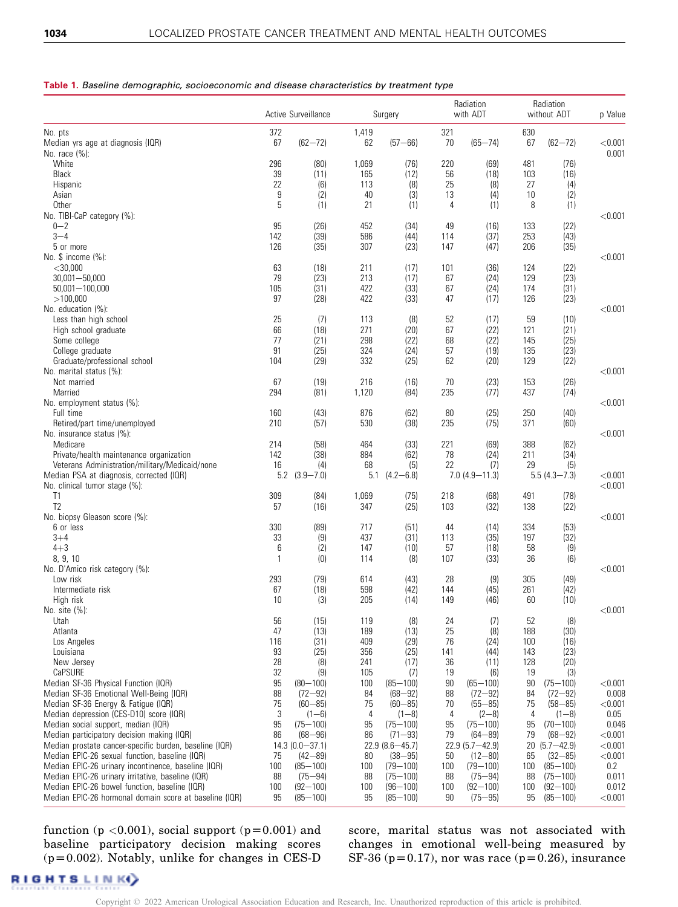#### <span id="page-5-0"></span>Table 1. Baseline demographic, socioeconomic and disease characteristics by treatment type

|                                                                                                         |              | Active Surveillance               |            | Surgery                           |           | Radiation<br>with ADT            |            | Radiation<br>without ADT      | p Value            |
|---------------------------------------------------------------------------------------------------------|--------------|-----------------------------------|------------|-----------------------------------|-----------|----------------------------------|------------|-------------------------------|--------------------|
| No. pts                                                                                                 | 372          |                                   | 1,419      |                                   | 321       |                                  | 630        |                               |                    |
| Median yrs age at diagnosis (IQR)<br>No. race (%):                                                      | 67           | $(62 - 72)$                       | 62         | $(57 - 66)$                       | 70        | $(65 - 74)$                      | 67         | $(62 - 72)$                   | < 0.001<br>0.001   |
| White                                                                                                   | 296          | (80)                              | 1,069      | (76)                              | 220       | (69)                             | 481        | (76)                          |                    |
| Black                                                                                                   | 39           | (11)                              | 165        | (12)                              | 56        | (18)                             | 103        | (16)                          |                    |
| Hispanic                                                                                                | 22           | (6)                               | 113<br>40  | (8)                               | 25        | (8)                              | 27         | (4)                           |                    |
| Asian<br>Other                                                                                          | 9<br>5       | (2)<br>(1)                        | 21         | (3)<br>(1)                        | 13<br>4   | (4)<br>(1)                       | 10<br>8    | (2)<br>(1)                    |                    |
| No. TIBI-CaP category (%):                                                                              |              |                                   |            |                                   |           |                                  |            |                               | < 0.001            |
| $0 - 2$                                                                                                 | 95           | (26)                              | 452        | (34)                              | 49        | (16)                             | 133        | (22)                          |                    |
| $3 - 4$                                                                                                 | 142          | (39)                              | 586        | (44)                              | 114       | (37)                             | 253        | (43)                          |                    |
| 5 or more<br>No. \$ income (%):                                                                         | 126          | (35)                              | 307        | (23)                              | 147       | (47)                             | 206        | (35)                          | < 0.001            |
| $<$ 30,000                                                                                              | 63           | (18)                              | 211        | (17)                              | 101       | (36)                             | 124        | (22)                          |                    |
| $30,001 - 50,000$                                                                                       | 79           | (23)                              | 213        | (17)                              | 67        | (24)                             | 129        | (23)                          |                    |
| $50,001 - 100,000$                                                                                      | 105          | (31)                              | 422        | (33)                              | 67        | (24)                             | 174        | (31)                          |                    |
| >100,000<br>No. education (%):                                                                          | 97           | (28)                              | 422        | (33)                              | 47        | (17)                             | 126        | (23)                          | < 0.001            |
| Less than high school                                                                                   | 25           | (7)                               | 113        | (8)                               | 52        | (17)                             | 59         | (10)                          |                    |
| High school graduate                                                                                    | 66           | (18)                              | 271        | (20)                              | 67        | (22)                             | 121        | (21)                          |                    |
| Some college                                                                                            | 77           | (21)                              | 298        | (22)                              | 68        | (22)                             | 145        | (25)                          |                    |
| College graduate                                                                                        | 91           | (25)                              | 324        | (24)                              | 57        | (19)                             | 135        | (23)                          |                    |
| Graduate/professional school<br>No. marital status (%):                                                 | 104          | (29)                              | 332        | (25)                              | 62        | (20)                             | 129        | (22)                          | < 0.001            |
| Not married                                                                                             | 67           | (19)                              | 216        | (16)                              | 70        | (23)                             | 153        | (26)                          |                    |
| Married                                                                                                 | 294          | (81)                              | 1,120      | (84)                              | 235       | (77)                             | 437        | (74)                          |                    |
| No. employment status (%):                                                                              |              |                                   |            |                                   |           |                                  |            |                               | < 0.001            |
| Full time<br>Retired/part time/unemployed                                                               | 160<br>210   | (43)<br>(57)                      | 876<br>530 | (62)<br>(38)                      | 80<br>235 | (25)<br>(75)                     | 250<br>371 | (40)<br>(60)                  |                    |
| No. insurance status (%):                                                                               |              |                                   |            |                                   |           |                                  |            |                               | < 0.001            |
| Medicare                                                                                                | 214          | (58)                              | 464        | (33)                              | 221       | (69)                             | 388        | (62)                          |                    |
| Private/health maintenance organization                                                                 | 142          | (38)                              | 884        | (62)                              | 78        | (24)                             | 211        | (34)                          |                    |
| Veterans Administration/military/Medicaid/none<br>Median PSA at diagnosis, corrected (IQR)              | 16           | (4)<br>$5.2$ $(3.9 - 7.0)$        | 68<br>5.1  | (5)<br>$(4.2 - 6.8)$              | 22        | (7)<br>$7.0(4.9 - 11.3)$         | 29         | (5)<br>$5.5(4.3 - 7.3)$       | < 0.001            |
| No. clinical tumor stage (%):                                                                           |              |                                   |            |                                   |           |                                  |            |                               | < 0.001            |
| T1                                                                                                      | 309          | (84)                              | 1,069      | (75)                              | 218       | (68)                             | 491        | (78)                          |                    |
| T <sub>2</sub>                                                                                          | 57           | (16)                              | 347        | (25)                              | 103       | (32)                             | 138        | (22)                          |                    |
| No. biopsy Gleason score (%):<br>6 or less                                                              | 330          | (89)                              | 717        | (51)                              | 44        | (14)                             | 334        | (53)                          | < 0.001            |
| $3 + 4$                                                                                                 | 33           | (9)                               | 437        | (31)                              | 113       | (35)                             | 197        | (32)                          |                    |
| $4 + 3$                                                                                                 | 6            | (2)                               | 147        | (10)                              | 57        | (18)                             | 58         | (9)                           |                    |
| 8, 9, 10                                                                                                | $\mathbf{1}$ | (0)                               | 114        | (8)                               | 107       | (33)                             | 36         | (6)                           |                    |
| No. D'Amico risk category (%):                                                                          |              |                                   |            |                                   |           |                                  |            |                               | < 0.001            |
| Low risk<br>Intermediate risk                                                                           | 293<br>67    | (79)<br>(18)                      | 614<br>598 | (43)<br>(42)                      | 28<br>144 | (9)<br>(45)                      | 305<br>261 | (49)<br>(42)                  |                    |
| High risk                                                                                               | 10           | (3)                               | 205        | (14)                              | 149       | (46)                             | 60         | (10)                          |                    |
| No. site (%):                                                                                           |              |                                   |            |                                   |           |                                  |            |                               | < 0.001            |
| Utah                                                                                                    | 56           | (15)                              | 119        | (8)                               | 24        | (7)                              | 52         | (8)                           |                    |
| Atlanta<br>Los Angeles                                                                                  | 47<br>116    | (13)<br>(31)                      | 189<br>409 | (13)<br>(29)                      | 25<br>76  | (8)<br>(24)                      | 188<br>100 | (30)<br>(16)                  |                    |
| Louisiana                                                                                               | 93           | (25)                              | 356        | (25)                              | 141       | (44)                             | 143        | (23)                          |                    |
| New Jersey                                                                                              | 28           | (8)                               | 241        | (17)                              | 36        | (11)                             | 128        | (20)                          |                    |
| CaPSURE                                                                                                 | 32           | (9)                               | 105        | (7)                               | 19        | (6)                              | 19         | (3)                           |                    |
| Median SF-36 Physical Function (IQR)<br>Median SF-36 Emotional Well-Being (IQR)                         | 95<br>88     | $(80 - 100)$<br>$(72 - 92)$       | 100<br>84  | $(85 - 100)$<br>$(68 - 92)$       | 90<br>88  | $(65 - 100)$<br>$(72 - 92)$      | 90<br>84   | $(75 - 100)$<br>$(72 - 92)$   | < 0.001<br>0.008   |
| Median SF-36 Energy & Fatigue (IQR)                                                                     | 75           | $(60 - 85)$                       | 75         | $(60 - 85)$                       | 70        | $(55 - 85)$                      | 75         | $(58 - 85)$                   | < 0.001            |
| Median depression (CES-D10) score (IQR)                                                                 | 3            | $(1 - 6)$                         | 4          | $(1-8)$                           | 4         | $(2 - 8)$                        | 4          | $(1-8)$                       | 0.05               |
| Median social support, median (IQR)                                                                     | 95           | $(75 - 100)$                      | 95         | $(75 - 100)$                      | 95        | $(75 - 100)$                     | 95         | $(70 - 100)$                  | 0.046              |
| Median participatory decision making (IQR)<br>Median prostate cancer-specific burden, baseline (IQR)    | 86           | $(68 - 96)$<br>$14.3(0.0 - 37.1)$ | 86         | $(71 - 93)$<br>$22.9(8.6 - 45.7)$ | 79        | $(64 - 89)$<br>$22.9$ (5.7-42.9) | 79<br>20   | $(68 - 92)$<br>$(5.7 - 42.9)$ | < 0.001<br>< 0.001 |
| Median EPIC-26 sexual function, baseline (IQR)                                                          | 75           | $(42 - 89)$                       | 80         | $(38 - 95)$                       | 50        | $(12 - 80)$                      | 65         | $(32 - 85)$                   | < 0.001            |
| Median EPIC-26 urinary incontinence, baseline (IQR)                                                     | 100          | $(85 - 100)$                      | 100        | $(79 - 100)$                      | 100       | $(79 - 100)$                     | 100        | $(85 - 100)$                  | $0.2\,$            |
| Median EPIC-26 urinary irritative, baseline (IQR)                                                       | 88           | $(75 - 94)$                       | 88         | $(75 - 100)$                      | 88        | $(75 - 94)$                      | 88         | $(75 - 100)$                  | 0.011              |
| Median EPIC-26 bowel function, baseline (IQR)<br>Median EPIC-26 hormonal domain score at baseline (IQR) | 100<br>95    | $(92 - 100)$<br>$(85 - 100)$      | 100<br>95  | $(96 - 100)$<br>$(85 - 100)$      | 100<br>90 | $(92 - 100)$<br>$(75 - 95)$      | 100<br>95  | $(92 - 100)$<br>$(85 - 100)$  | 0.012<br>< 0.001   |
|                                                                                                         |              |                                   |            |                                   |           |                                  |            |                               |                    |

function (p <0.001), social support (p=0.001) and baseline participatory decision making scores  $(p=0.002)$ . Notably, unlike for changes in CES-D

score, marital status was not associated with changes in emotional well-being measured by SF-36 ( $p=0.17$ ), nor was race ( $p=0.26$ ), insurance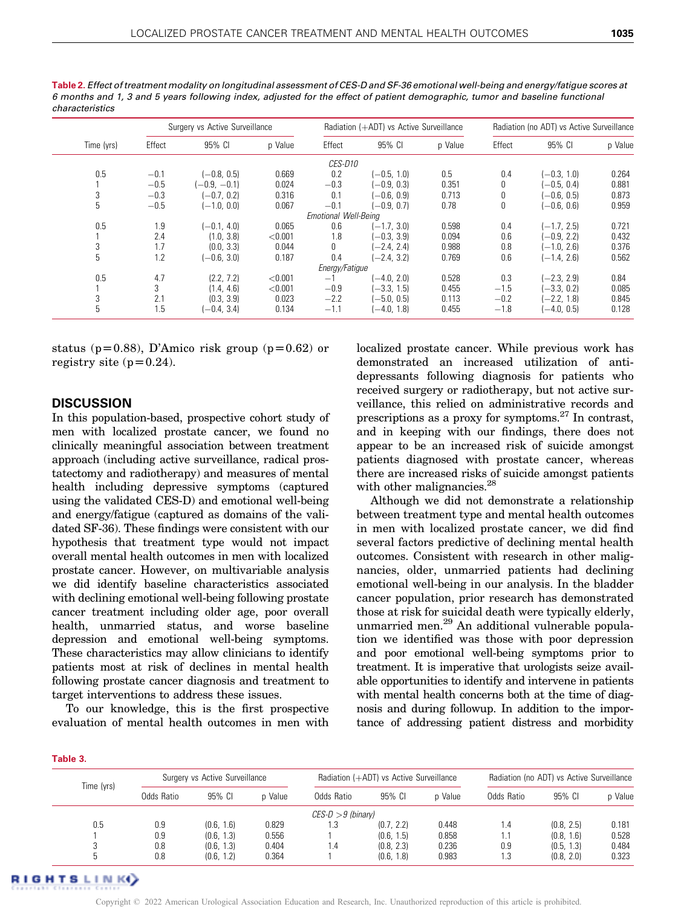|            |        | Surgery vs Active Surveillance |         |                      | Radiation (+ADT) vs Active Surveillance |         | Radiation (no ADT) vs Active Surveillance |               |         |
|------------|--------|--------------------------------|---------|----------------------|-----------------------------------------|---------|-------------------------------------------|---------------|---------|
| Time (yrs) | Effect | 95% CI                         | p Value | Effect               | 95% CI                                  | p Value | Effect                                    | 95% CI        | p Value |
|            |        |                                |         | CES-D10              |                                         |         |                                           |               |         |
| 0.5        | $-0.1$ | $(-0.8, 0.5)$                  | 0.669   | 0.2                  | $(-0.5, 1.0)$                           | 0.5     | 0.4                                       | $(-0.3, 1.0)$ | 0.264   |
|            | $-0.5$ | $(-0.9, -0.1)$                 | 0.024   | $-0.3$               | $(-0.9, 0.3)$                           | 0.351   | 0                                         | $(-0.5, 0.4)$ | 0.881   |
| 3          | $-0.3$ | $-0.7, 0.2$                    | 0.316   | 0.1                  | $(-0.6, 0.9)$                           | 0.713   | 0                                         | $(-0.6, 0.5)$ | 0.873   |
| 5          | $-0.5$ | $(-1.0, 0.0)$                  | 0.067   | $-0.1$               | $(-0.9, 0.7)$                           | 0.78    | 0                                         | $(-0.6, 0.6)$ | 0.959   |
|            |        |                                |         | Emotional Well-Being |                                         |         |                                           |               |         |
| 0.5        | 1.9    | $(-0.1, 4.0)$                  | 0.065   | 0.6                  | $(-1.7, 3.0)$                           | 0.598   | 0.4                                       | $(-1.7, 2.5)$ | 0.721   |
|            | 2.4    | (1.0, 3.8)                     | < 0.001 | 1.8                  | $(-0.3, 3.9)$                           | 0.094   | 0.6                                       | $(-0.9, 2.2)$ | 0.432   |
| 3          | 1.7    | (0.0, 3.3)                     | 0.044   | $\Omega$             | $(-2.4, 2.4)$                           | 0.988   | 0.8                                       | $(-1.0, 2.6)$ | 0.376   |
| 5          | 1.2    | $-0.6, 3.0$                    | 0.187   | 0.4                  | $(-2.4, 3.2)$                           | 0.769   | 0.6                                       | $(-1.4, 2.6)$ | 0.562   |
|            |        |                                |         | Energy/Fatigue       |                                         |         |                                           |               |         |
| 0.5        | 4.7    | (2.2, 7.2)                     | < 0.001 | $-1$                 | $(-4.0, 2.0)$                           | 0.528   | 0.3                                       | $(-2.3, 2.9)$ | 0.84    |
|            | 3      | (1.4, 4.6)                     | < 0.001 | $-0.9$               | $(-3.3, 1.5)$                           | 0.455   | $-1.5$                                    | $(-3.3, 0.2)$ | 0.085   |
| 3          | 2.1    | (0.3, 3.9)                     | 0.023   | $-2.2$               | $(-5.0, 0.5)$                           | 0.113   | $-0.2$                                    | $[-2.2, 1.8]$ | 0.845   |
| 5          | 1.5    | $-0.4, 3.4$                    | 0.134   | $-1.1$               | $(-4.0, 1.8)$                           | 0.455   | $-1.8$                                    | $(-4.0, 0.5)$ | 0.128   |

<span id="page-6-0"></span>Table 2. Effect of treatment modality on longitudinal assessment of CES-D and SF-36 emotional well-being and energy/fatigue scores at 6 months and 1, 3 and 5 years following index, adjusted for the effect of patient demographic, tumor and baseline functional characteristics

status (p=0.88), D'Amico risk group (p=0.62) or registry site  $(p=0.24)$ .

### **DISCUSSION**

In this population-based, prospective cohort study of men with localized prostate cancer, we found no clinically meaningful association between treatment approach (including active surveillance, radical prostatectomy and radiotherapy) and measures of mental health including depressive symptoms (captured using the validated CES-D) and emotional well-being and energy/fatigue (captured as domains of the validated SF-36). These findings were consistent with our hypothesis that treatment type would not impact overall mental health outcomes in men with localized prostate cancer. However, on multivariable analysis we did identify baseline characteristics associated with declining emotional well-being following prostate cancer treatment including older age, poor overall health, unmarried status, and worse baseline depression and emotional well-being symptoms. These characteristics may allow clinicians to identify patients most at risk of declines in mental health following prostate cancer diagnosis and treatment to target interventions to address these issues.

To our knowledge, this is the first prospective evaluation of mental health outcomes in men with

localized prostate cancer. While previous work has demonstrated an increased utilization of antidepressants following diagnosis for patients who received surgery or radiotherapy, but not active surveillance, this relied on administrative records and prescriptions as a proxy for symptoms.<sup>27</sup> In contrast, and in keeping with our findings, there does not appear to be an increased risk of suicide amongst patients diagnosed with prostate cancer, whereas there are increased risks of suicide amongst patients with other malignancies.<sup>28</sup>

Although we did not demonstrate a relationship between treatment type and mental health outcomes in men with localized prostate cancer, we did find several factors predictive of declining mental health outcomes. Consistent with research in other malignancies, older, unmarried patients had declining emotional well-being in our analysis. In the bladder cancer population, prior research has demonstrated those at risk for suicidal death were typically elderly, unmarried men.<sup>[29](#page-8-0)</sup> An additional vulnerable population we identified was those with poor depression and poor emotional well-being symptoms prior to treatment. It is imperative that urologists seize available opportunities to identify and intervene in patients with mental health concerns both at the time of diagnosis and during followup. In addition to the importance of addressing patient distress and morbidity

Table 3.

| Time (yrs) | Surgery vs Active Surveillance |            |         |                      | Radiation (+ADT) vs Active Surveillance |         | Radiation (no ADT) vs Active Surveillance |            |         |
|------------|--------------------------------|------------|---------|----------------------|-----------------------------------------|---------|-------------------------------------------|------------|---------|
|            | Odds Ratio                     | 95% CI     | p Value | Odds Ratio           | 95% CI                                  | p Value | Odds Ratio                                | 95% CI     | p Value |
|            |                                |            |         | $CES-D > 9$ (binary) |                                         |         |                                           |            |         |
| 0.5        | 0.9                            | (0.6, 1.6) | 0.829   | 1.3                  | (0.7, 2.2)                              | 0.448   | 1.4                                       | (0.8, 2.5) | 0.181   |
|            | 0.9                            | (0.6, 1.3) | 0.556   |                      | (0.6, 1.5)                              | 0.858   | 1.1                                       | (0.8, 1.6) | 0.528   |
|            | 0.8                            | (0.6, 1.3) | 0.404   | 1.4                  | (0.8, 2.3)                              | 0.236   | 0.9                                       | (0.5, 1.3) | 0.484   |
|            | 0.8                            | (0.6, 1.2) | 0.364   |                      | (0.6, 1.8)                              | 0.983   | 1.3                                       | (0.8, 2.0) | 0.323   |

RIGHTSLINK)

Copyright © 2022 American Urological Association Education and Research, Inc. Unauthorized reproduction of this article is prohibited.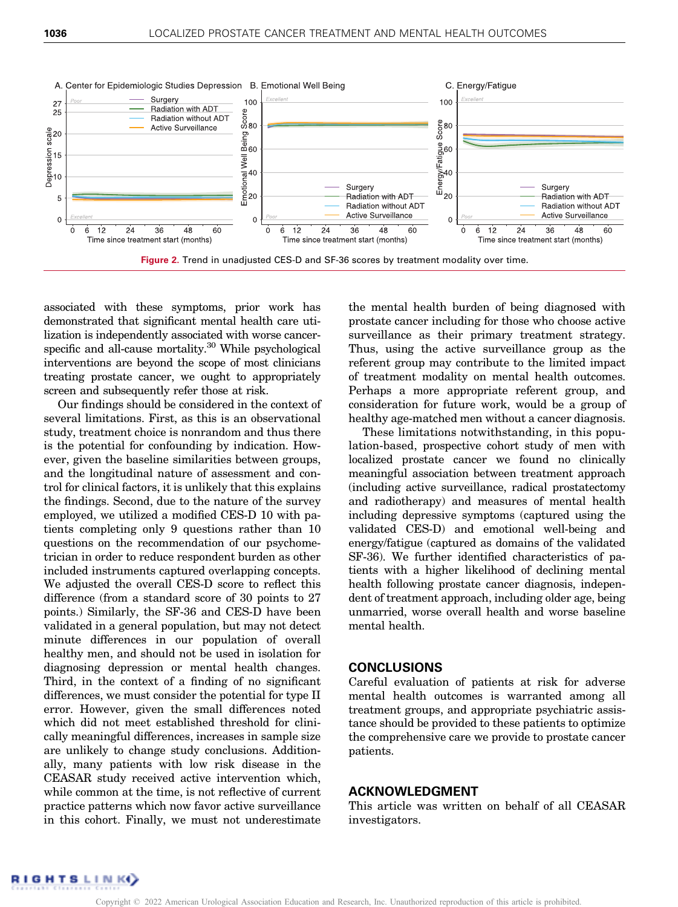

associated with these symptoms, prior work has demonstrated that significant mental health care utilization is independently associated with worse cancerspecific and all-cause mortality.<sup>30</sup> While psychological interventions are beyond the scope of most clinicians treating prostate cancer, we ought to appropriately screen and subsequently refer those at risk.

Our findings should be considered in the context of several limitations. First, as this is an observational study, treatment choice is nonrandom and thus there is the potential for confounding by indication. However, given the baseline similarities between groups, and the longitudinal nature of assessment and control for clinical factors, it is unlikely that this explains the findings. Second, due to the nature of the survey employed, we utilized a modified CES-D 10 with patients completing only 9 questions rather than 10 questions on the recommendation of our psychometrician in order to reduce respondent burden as other included instruments captured overlapping concepts. We adjusted the overall CES-D score to reflect this difference (from a standard score of 30 points to 27 points.) Similarly, the SF-36 and CES-D have been validated in a general population, but may not detect minute differences in our population of overall healthy men, and should not be used in isolation for diagnosing depression or mental health changes. Third, in the context of a finding of no significant differences, we must consider the potential for type II error. However, given the small differences noted which did not meet established threshold for clinically meaningful differences, increases in sample size are unlikely to change study conclusions. Additionally, many patients with low risk disease in the CEASAR study received active intervention which, while common at the time, is not reflective of current practice patterns which now favor active surveillance in this cohort. Finally, we must not underestimate

the mental health burden of being diagnosed with prostate cancer including for those who choose active surveillance as their primary treatment strategy. Thus, using the active surveillance group as the referent group may contribute to the limited impact of treatment modality on mental health outcomes. Perhaps a more appropriate referent group, and consideration for future work, would be a group of healthy age-matched men without a cancer diagnosis.

These limitations notwithstanding, in this population-based, prospective cohort study of men with localized prostate cancer we found no clinically meaningful association between treatment approach (including active surveillance, radical prostatectomy and radiotherapy) and measures of mental health including depressive symptoms (captured using the validated CES-D) and emotional well-being and energy/fatigue (captured as domains of the validated SF-36). We further identified characteristics of patients with a higher likelihood of declining mental health following prostate cancer diagnosis, independent of treatment approach, including older age, being unmarried, worse overall health and worse baseline mental health.

### **CONCLUSIONS**

Careful evaluation of patients at risk for adverse mental health outcomes is warranted among all treatment groups, and appropriate psychiatric assistance should be provided to these patients to optimize the comprehensive care we provide to prostate cancer patients.

## ACKNOWLEDGMENT

This article was written on behalf of all CEASAR investigators.